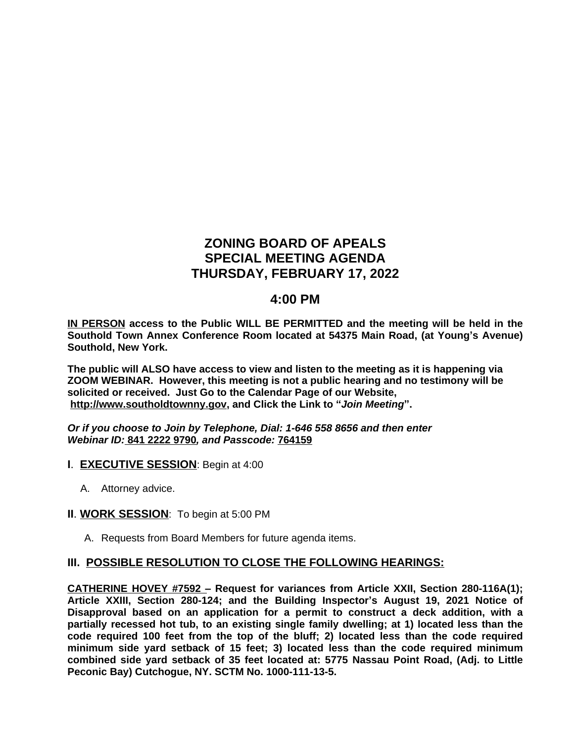# **ZONING BOARD OF APEALS SPECIAL MEETING AGENDA THURSDAY, FEBRUARY 17, 2022**

## **4:00 PM**

**IN PERSON access to the Public WILL BE PERMITTED and the meeting will be held in the Southold Town Annex Conference Room located at 54375 Main Road, (at Young's Avenue) Southold, New York.**

**The public will ALSO have access to view and listen to the meeting as it is happening via ZOOM WEBINAR. However, this meeting is not a public hearing and no testimony will be solicited or received. Just Go to the Calendar Page of our Website, [http://www.southoldtownny.gov,](http://www.southoldtownny.gov) and Click the Link to "***Join Meeting***".**

*Or if you choose to Join by Telephone, Dial: 1-646 558 8656 and then enter Webinar ID:* **841 2222 9790***, and Passcode:* **764159**

- **I**. **EXECUTIVE SESSION**: Begin at 4:00
	- A. Attorney advice.
- **II**. **WORK SESSION**: To begin at 5:00 PM
	- A. Requests from Board Members for future agenda items.

### **III. POSSIBLE RESOLUTION TO CLOSE THE FOLLOWING HEARINGS:**

**CATHERINE HOVEY #7592 – Request for variances from Article XXII, Section 280-116A(1); Article XXIII, Section 280-124; and the Building Inspector's August 19, 2021 Notice of Disapproval based on an application for a permit to construct a deck addition, with a partially recessed hot tub, to an existing single family dwelling; at 1) located less than the code required 100 feet from the top of the bluff; 2) located less than the code required minimum side yard setback of 15 feet; 3) located less than the code required minimum combined side yard setback of 35 feet located at: 5775 Nassau Point Road, (Adj. to Little Peconic Bay) Cutchogue, NY. SCTM No. 1000-111-13-5.**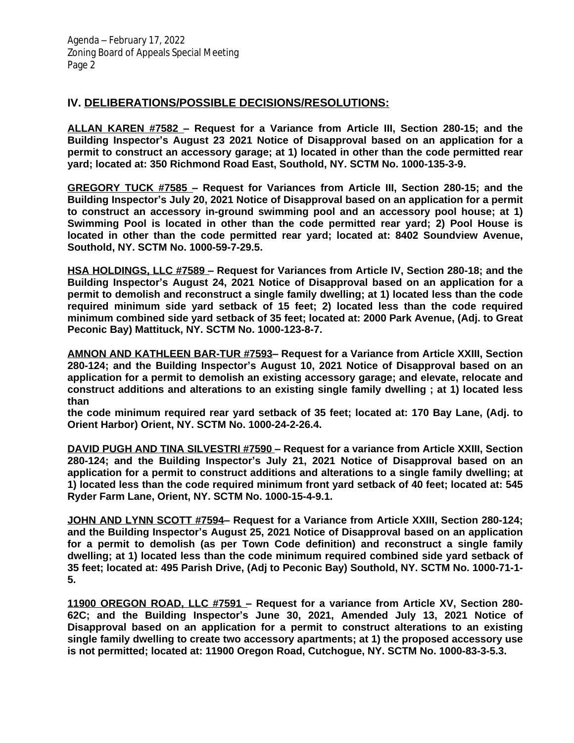## **IV. DELIBERATIONS/POSSIBLE DECISIONS/RESOLUTIONS:**

**ALLAN KAREN #7582 – Request for a Variance from Article III, Section 280-15; and the Building Inspector's August 23 2021 Notice of Disapproval based on an application for a permit to construct an accessory garage; at 1) located in other than the code permitted rear yard; located at: 350 Richmond Road East, Southold, NY. SCTM No. 1000-135-3-9.**

**GREGORY TUCK #7585 – Request for Variances from Article III, Section 280-15; and the Building Inspector's July 20, 2021 Notice of Disapproval based on an application for a permit to construct an accessory in-ground swimming pool and an accessory pool house; at 1) Swimming Pool is located in other than the code permitted rear yard; 2) Pool House is located in other than the code permitted rear yard; located at: 8402 Soundview Avenue, Southold, NY. SCTM No. 1000-59-7-29.5.**

**HSA HOLDINGS, LLC #7589 – Request for Variances from Article IV, Section 280-18; and the Building Inspector's August 24, 2021 Notice of Disapproval based on an application for a permit to demolish and reconstruct a single family dwelling; at 1) located less than the code required minimum side yard setback of 15 feet; 2) located less than the code required minimum combined side yard setback of 35 feet; located at: 2000 Park Avenue, (Adj. to Great Peconic Bay) Mattituck, NY. SCTM No. 1000-123-8-7.**

**AMNON AND KATHLEEN BAR-TUR #7593– Request for a Variance from Article XXIII, Section 280-124; and the Building Inspector's August 10, 2021 Notice of Disapproval based on an application for a permit to demolish an existing accessory garage; and elevate, relocate and construct additions and alterations to an existing single family dwelling ; at 1) located less than** 

**the code minimum required rear yard setback of 35 feet; located at: 170 Bay Lane, (Adj. to Orient Harbor) Orient, NY. SCTM No. 1000-24-2-26.4.**

**DAVID PUGH AND TINA SILVESTRI #7590 – Request for a variance from Article XXIII, Section 280-124; and the Building Inspector's July 21, 2021 Notice of Disapproval based on an application for a permit to construct additions and alterations to a single family dwelling; at 1) located less than the code required minimum front yard setback of 40 feet; located at: 545 Ryder Farm Lane, Orient, NY. SCTM No. 1000-15-4-9.1.**

**JOHN AND LYNN SCOTT #7594– Request for a Variance from Article XXIII, Section 280-124; and the Building Inspector's August 25, 2021 Notice of Disapproval based on an application for a permit to demolish (as per Town Code definition) and reconstruct a single family dwelling; at 1) located less than the code minimum required combined side yard setback of 35 feet; located at: 495 Parish Drive, (Adj to Peconic Bay) Southold, NY. SCTM No. 1000-71-1- 5.**

**11900 OREGON ROAD, LLC #7591 – Request for a variance from Article XV, Section 280- 62C; and the Building Inspector's June 30, 2021, Amended July 13, 2021 Notice of Disapproval based on an application for a permit to construct alterations to an existing single family dwelling to create two accessory apartments; at 1) the proposed accessory use is not permitted; located at: 11900 Oregon Road, Cutchogue, NY. SCTM No. 1000-83-3-5.3.**